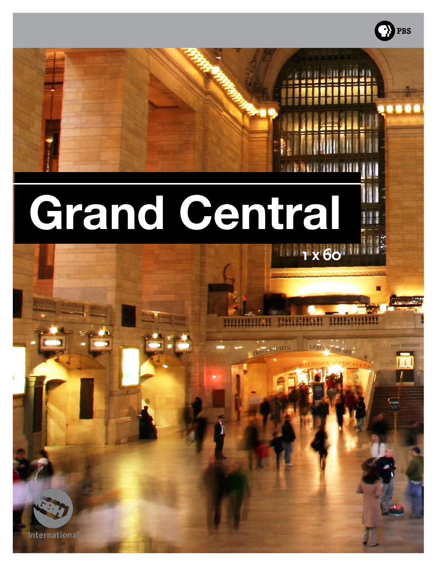# **1 x 60<sup>111</sup> Grand Central**

· PBS